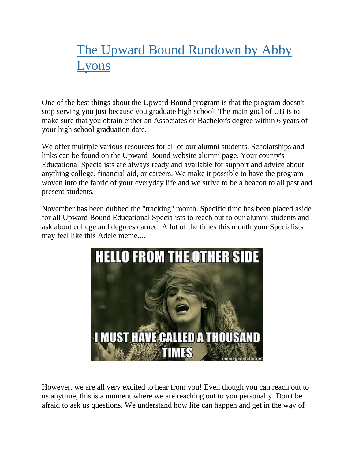## The Upward Bound Rundown by Abby Lyons

One of the best things about the Upward Bound program is that the program doesn't stop serving you just because you graduate high school. The main goal of UB is to make sure that you obtain either an Associates or Bachelor's degree within 6 years of your high school graduation date.

We offer multiple various resources for all of our alumni students. Scholarships and links can be found on the Upward Bound website alumni page. Your county's Educational Specialists are always ready and available for support and advice about anything college, financial aid, or careers. We make it possible to have the program woven into the fabric of your everyday life and we strive to be a beacon to all past and present students.

November has been dubbed the "tracking" month. Specific time has been placed aside for all Upward Bound Educational Specialists to reach out to our alumni students and ask about college and degrees earned. A lot of the times this month your Specialists may feel like this Adele meme....



However, we are all very excited to hear from you! Even though you can reach out to us anytime, this is a moment where we are reaching out to you personally. Don't be afraid to ask us questions. We understand how life can happen and get in the way of